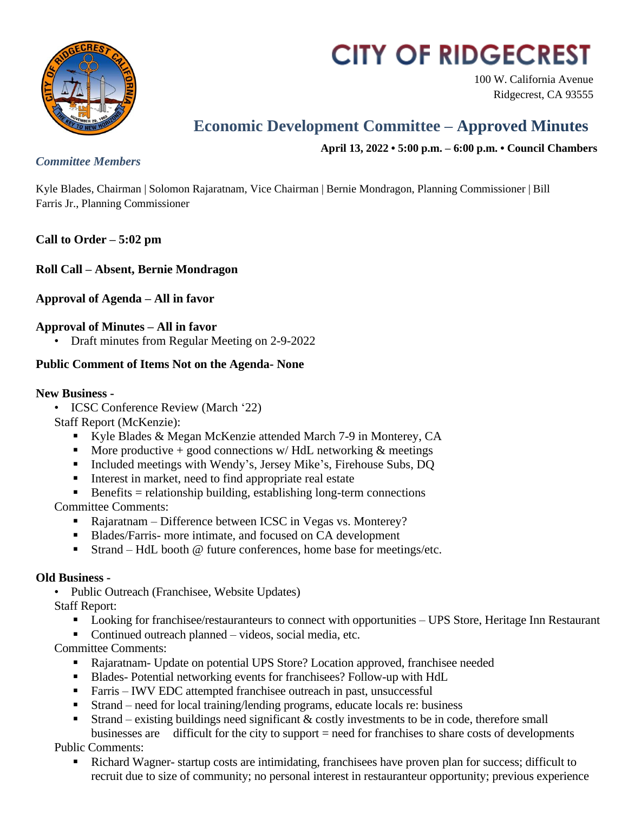

# **CITY OF RIDGECREST**

100 W. California Avenue Ridgecrest, CA 93555

# **Economic Development Committee – Approved Minutes**

**April 13, 2022 • 5:00 p.m. – 6:00 p.m. • Council Chambers**

#### *Committee Members*

Kyle Blades, Chairman | Solomon Rajaratnam, Vice Chairman | Bernie Mondragon, Planning Commissioner | Bill Farris Jr., Planning Commissioner

# **Call to Order – 5:02 pm**

**Roll Call – Absent, Bernie Mondragon**

**Approval of Agenda – All in favor**

### **Approval of Minutes – All in favor**

• Draft minutes from Regular Meeting on 2-9-2022

### **Public Comment of Items Not on the Agenda- None**

#### **New Business -**

- ICSC Conference Review (March '22)
- Staff Report (McKenzie):
	- Kyle Blades & Megan McKenzie attended March 7-9 in Monterey, CA
	- More productive  $+$  good connections w/ HdL networking  $\&$  meetings
	- Included meetings with Wendy's, Jersey Mike's, Firehouse Subs, DQ
	- Interest in market, need to find appropriate real estate
	- Benefits = relationship building, establishing long-term connections

Committee Comments:

- Rajaratnam Difference between ICSC in Vegas vs. Monterey?
- Blades/Farris- more intimate, and focused on CA development
- Strand HdL booth @ future conferences, home base for meetings/etc.

# **Old Business -**

• Public Outreach (Franchisee, Website Updates)

Staff Report:

- Looking for franchisee/restauranteurs to connect with opportunities UPS Store, Heritage Inn Restaurant
- Continued outreach planned videos, social media, etc.

Committee Comments:

- Rajaratnam- Update on potential UPS Store? Location approved, franchisee needed
- Blades- Potential networking events for franchisees? Follow-up with HdL
- Farris IWV EDC attempted franchisee outreach in past, unsuccessful
- Strand need for local training/lending programs, educate locals re: business
- Strand existing buildings need significant & costly investments to be in code, therefore small businesses are difficult for the city to support = need for franchises to share costs of developments

Public Comments:

 Richard Wagner- startup costs are intimidating, franchisees have proven plan for success; difficult to recruit due to size of community; no personal interest in restauranteur opportunity; previous experience